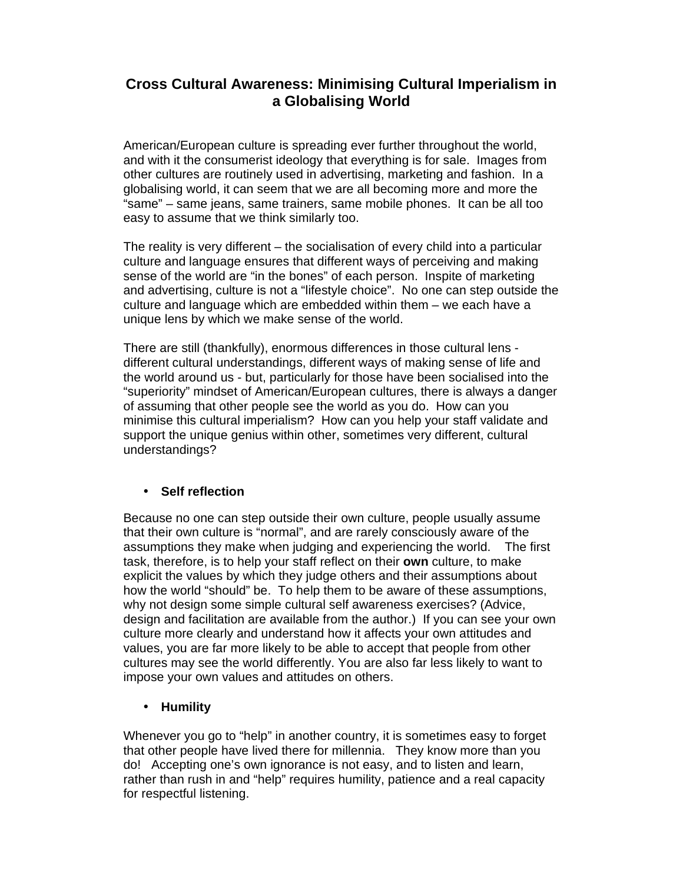# **Cross Cultural Awareness: Minimising Cultural Imperialism in a Globalising World**

American/European culture is spreading ever further throughout the world, and with it the consumerist ideology that everything is for sale. Images from other cultures are routinely used in advertising, marketing and fashion. In a globalising world, it can seem that we are all becoming more and more the "same" – same jeans, same trainers, same mobile phones. It can be all too easy to assume that we think similarly too.

The reality is very different – the socialisation of every child into a particular culture and language ensures that different ways of perceiving and making sense of the world are "in the bones" of each person. Inspite of marketing and advertising, culture is not a "lifestyle choice". No one can step outside the culture and language which are embedded within them – we each have a unique lens by which we make sense of the world.

There are still (thankfully), enormous differences in those cultural lens different cultural understandings, different ways of making sense of life and the world around us - but, particularly for those have been socialised into the "superiority" mindset of American/European cultures, there is always a danger of assuming that other people see the world as you do. How can you minimise this cultural imperialism? How can you help your staff validate and support the unique genius within other, sometimes very different, cultural understandings?

### • **Self reflection**

Because no one can step outside their own culture, people usually assume that their own culture is "normal", and are rarely consciously aware of the assumptions they make when judging and experiencing the world. The first task, therefore, is to help your staff reflect on their **own** culture, to make explicit the values by which they judge others and their assumptions about how the world "should" be. To help them to be aware of these assumptions, why not design some simple cultural self awareness exercises? (Advice, design and facilitation are available from the author.) If you can see your own culture more clearly and understand how it affects your own attitudes and values, you are far more likely to be able to accept that people from other cultures may see the world differently. You are also far less likely to want to impose your own values and attitudes on others.

#### • **Humility**

Whenever you go to "help" in another country, it is sometimes easy to forget that other people have lived there for millennia. They know more than you do! Accepting one's own ignorance is not easy, and to listen and learn, rather than rush in and "help" requires humility, patience and a real capacity for respectful listening.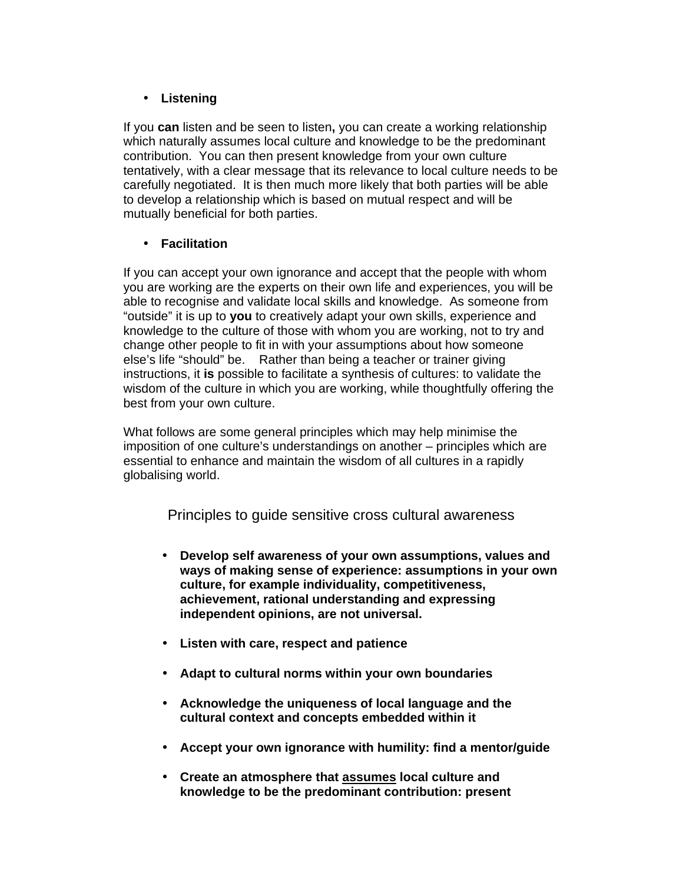## • **Listening**

If you **can** listen and be seen to listen**,** you can create a working relationship which naturally assumes local culture and knowledge to be the predominant contribution. You can then present knowledge from your own culture tentatively, with a clear message that its relevance to local culture needs to be carefully negotiated. It is then much more likely that both parties will be able to develop a relationship which is based on mutual respect and will be mutually beneficial for both parties.

### • **Facilitation**

If you can accept your own ignorance and accept that the people with whom you are working are the experts on their own life and experiences, you will be able to recognise and validate local skills and knowledge. As someone from "outside" it is up to **you** to creatively adapt your own skills, experience and knowledge to the culture of those with whom you are working, not to try and change other people to fit in with your assumptions about how someone else's life "should" be. Rather than being a teacher or trainer giving instructions, it **is** possible to facilitate a synthesis of cultures: to validate the wisdom of the culture in which you are working, while thoughtfully offering the best from your own culture.

What follows are some general principles which may help minimise the imposition of one culture's understandings on another – principles which are essential to enhance and maintain the wisdom of all cultures in a rapidly globalising world.

Principles to guide sensitive cross cultural awareness

- **Develop self awareness of your own assumptions, values and ways of making sense of experience: assumptions in your own culture, for example individuality, competitiveness, achievement, rational understanding and expressing independent opinions, are not universal.**
- **Listen with care, respect and patience**
- **Adapt to cultural norms within your own boundaries**
- **Acknowledge the uniqueness of local language and the cultural context and concepts embedded within it**
- **Accept your own ignorance with humility: find a mentor/guide**
- **Create an atmosphere that assumes local culture and knowledge to be the predominant contribution: present**